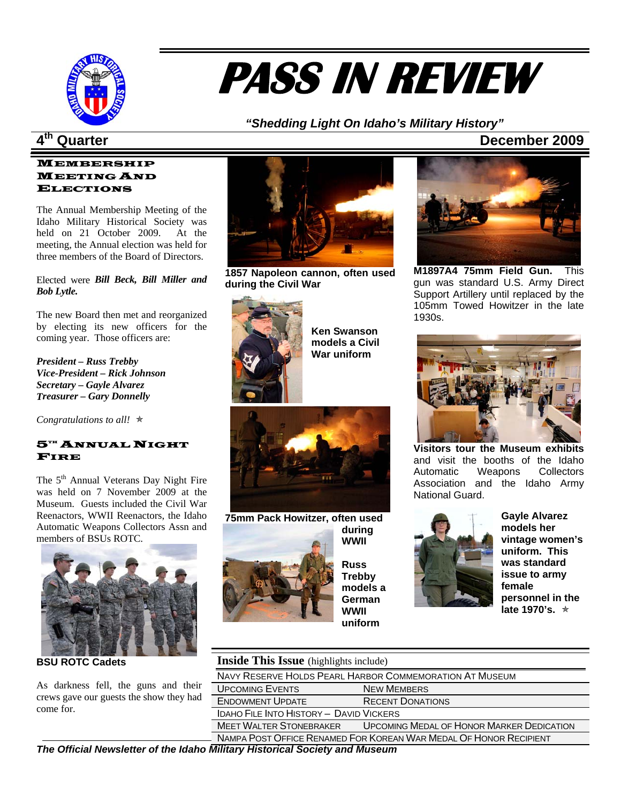

# **PASS IN REVIEW**

### *"Shedding Light On Idaho's Military Hist ory"*

#### **MEMBERSHIP** MEETING AND ELECTIONS

three members of the Board of Directors. The Annual Membership Meeting of the Idaho Military Historical Society was held on 21 October 2009. At the meeting, the Annual election was held for

#### *Bill Beck, Bill Miller and*  Elected were Bob Lytle.

by electing its new officers for the coming year. Those officers are: The new Board then met and reorganized

**Vice-President – Rick Johnson** *reasurer – Gary Donnelly T President – Russ Trebby Secretary – Gayle Alvarez* 

Congratulations to all!  $\star$ 

#### $5^{\mathrm{th}}$  Annual Night FIRE

Automatic Weapons Collectors Assn and The 5<sup>th</sup> Annual Veterans Day Night Fire was held on 7 November 2009 at the Museum. Guests included the Civil War Reenactors, WWII Reenactors, the Idaho members of BSUs ROTC.



**SU ROTC Cadets B**

crews gave our guests the show they had come for. As darkness fell, the guns and their



**1857 Napoleon cannon, often used during the Civil War**



**l models a Civi ar uniform W Ken Swanson** 





**M1897A4 75mm Field Gun.** This gun was standard U.S. Army Direct Support Artillery until replaced by the 105mm Towed Howitzer in the late 1930s.



**Visitors tour the Museum exhibits**  and visit the booths of the Idaho Automatic Weapons Collectors Association and the Idaho Army National Guard.



Gayle Alvarez **'s vintage women issue to army e personnel in th late 1970's.** ★ **models her uniform. This was standard female** 

| <b>Inside This Issue</b> (highlights include) |  |
|-----------------------------------------------|--|
|-----------------------------------------------|--|

| NAVY RESERVE HOLDS PEARL HARBOR COMMEMORATION AT MUSEUM |                                                                     |  |  |  |
|---------------------------------------------------------|---------------------------------------------------------------------|--|--|--|
| <b>UPCOMING EVENTS</b>                                  | <b>NEW MEMBERS</b>                                                  |  |  |  |
| <b>ENDOWMENT UPDATE</b>                                 | <b>RECENT DONATIONS</b>                                             |  |  |  |
| IDAHO FILE INTO HISTORY - DAVID VICKERS                 |                                                                     |  |  |  |
| <b>MEET WALTER STONEBRAKER</b>                          | <b>UPCOMING MEDAL OF HONOR MARKER DEDICATION</b>                    |  |  |  |
|                                                         | - NAMPA POST OFFICE RENAMED FOR KOREAN WAR MEDAL OF HONOR RECIPIENT |  |  |  |

*The Official Newsletter of the Idaho Military Historical Society and Museum*

### **4th Quarter December 2009**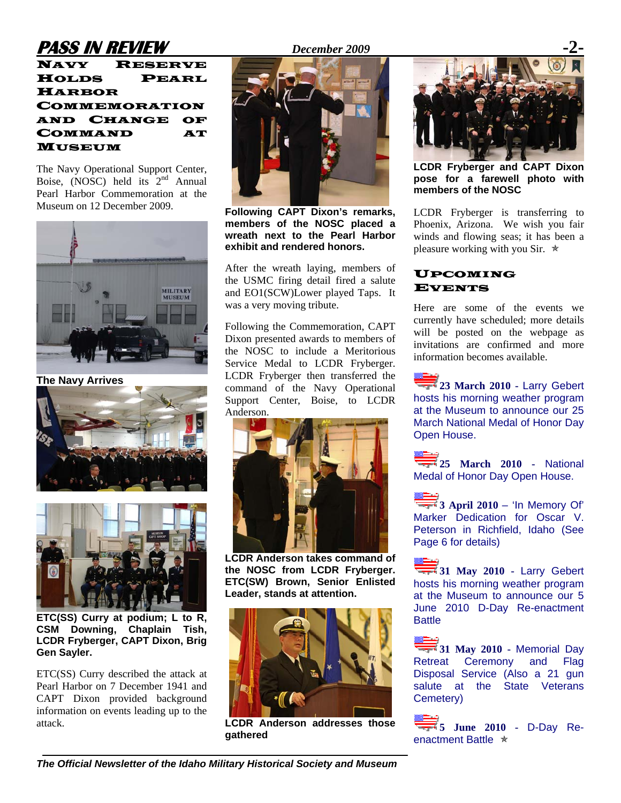## **PASS IN REVIEW** *December 2009*

NAVY RESERVE HOLDS PEARL HARBOR COMMEMORATION AND CHANGE OF COMMAND AT MUSEUM

The Navy Operational Support Center, Boise, (NOSC) held its  $2<sup>nd</sup>$  Annual Pearl Harbor Commemoration at the Museum on 12 December 2009.



**The Navy Arrives** 





**ETC(SS) Curry at podium; L to R, CSM Downing, Chaplain Tish, LCDR Fryberger, CAPT Dixon, Brig Gen Sayler.** 

ETC(SS) Curry described the attack at Pearl Harbor on 7 December 1941 and CAPT Dixon provided background information on events leading up to the attack.



**Following CAPT Dixon's remarks, members of the NOSC placed a wreath next to the Pearl Harbor exhibit and rendered honors.** 

After the wreath laying, members of the USMC firing detail fired a salute and EO1(SCW)Lower played Taps. It was a very moving tribute.

Following the Commemoration, CAPT Dixon presented awards to members of the NOSC to include a Meritorious Service Medal to LCDR Fryberger. LCDR Fryberger then transferred the command of the Navy Operational Support Center, Boise, to LCDR Anderson.



**LCDR Anderson takes command of the NOSC from LCDR Fryberger. ETC(SW) Brown, Senior Enlisted Leader, stands at attention.** 



**LCDR Anderson addresses those gathered** 



**LCDR Fryberger and CAPT Dixon pose for a farewell photo with members of the NOSC** 

LCDR Fryberger is transferring to Phoenix, Arizona. We wish you fair winds and flowing seas; it has been a pleasure working with you Sir.  $\ast$ 

### UPCOMING EVENTS

Here are some of the events we currently have scheduled; more details will be posted on the webpage as invitations are confirmed and more information becomes available.

23 March 2010 - Larry Gebert hosts his morning weather program at the Museum to announce our 25 March National Medal of Honor Day Open House.



Page 6 for details)

 $\overline{\phantom{a}}$  3 April 2010 – 'In Memory Of' Marker Dedication for Oscar V. Peterson in Richfield, Idaho (See

**31 May 2010 - Larry Gebert** hosts his morning weather program at the Museum to announce our 5 June 2010 D-Day Re-enactment **Battle** 

31 May 2010 - Memorial Day Retreat Ceremony and Flag Disposal Service (Also a 21 gun salute at the State Veterans Cemetery)

**5 June 2010 -** D-Day Reenactment Battle  $\star$ 

*The Official Newsletter of the Idaho Military Historical Society and Museum*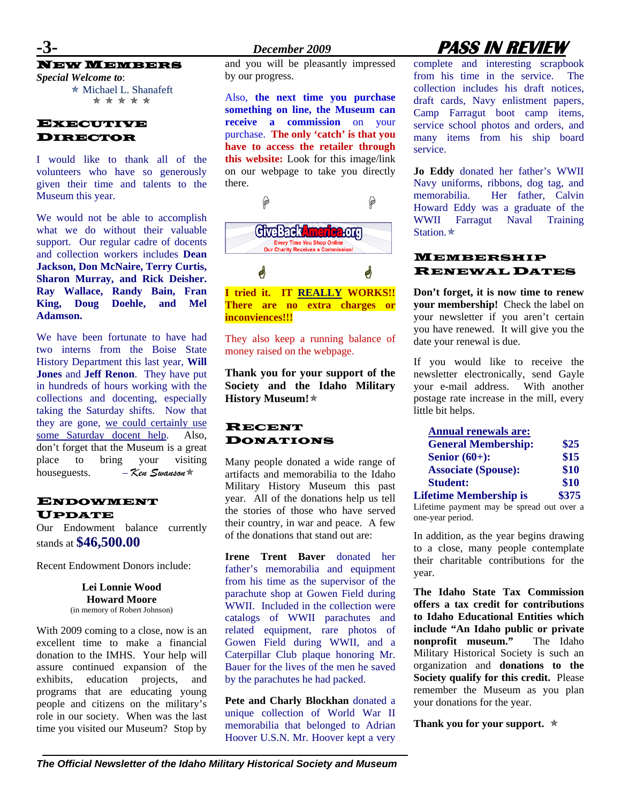NEW MEMBERS

*Special Welcome to*: \* Michael L. Shanafeft \* *\* \* \* \** 

### **EXECUTIVE** DIRECTOR

I would like to thank all of the volunteers who have so generously given their time and talents to the Museum this year.

We would not be able to accomplish what we do without their valuable support. Our regular cadre of docents and collection workers includes **Dean Jackson, Don McNaire, Terry Curtis, Sharon Murray, and Rick Deisher. Ray Wallace, Randy Bain, Fran King, Doug Doehle, and Mel Adamson.** 

We have been fortunate to have had two interns from the Boise State History Department this last year, **Will Jones** and **Jeff Renon**. They have put in hundreds of hours working with the collections and docenting, especially taking the Saturday shifts. Now that they are gone, we could certainly use some Saturday docent help. Also, don't forget that the Museum is a great place to bring your visiting houseguests. – *Ken Swanson*Õ

### ENDOWMENT UPDATE

Our Endowment balance currently stands at **\$46,500.00**

Recent Endowment Donors include:

**Lei Lonnie Wood Howard Moore**  (in memory of Robert Johnson)

With 2009 coming to a close, now is an excellent time to make a financial donation to the IMHS. Your help will assure continued expansion of the exhibits, education projects, and programs that are educating young people and citizens on the military's role in our society. When was the last time you visited our Museum? Stop by

and you will be pleasantly impressed by our progress.

Also, **the next time you purchase something on line, the Museum can receive a commission** on your purchase. **The only 'catch' is that you have to access the retailer through this website:** Look for this image/link on our webpage to take you directly there.



**I tried it. IT REALLY WORKS!! There are no extra charges or inconviences!!!** 

They also keep a running balance of money raised on the webpage.

**Thank you for your support of the Society and the Idaho Military History Museum!**Õ

### RECENT DONATIONS

Many people donated a wide range of artifacts and memorabilia to the Idaho Military History Museum this past year. All of the donations help us tell the stories of those who have served their country, in war and peace. A few of the donations that stand out are:

**Irene Trent Baver** donated her father's memorabilia and equipment from his time as the supervisor of the parachute shop at Gowen Field during WWII. Included in the collection were catalogs of WWII parachutes and related equipment, rare photos of Gowen Field during WWII, and a Caterpillar Club plaque honoring Mr. Bauer for the lives of the men he saved by the parachutes he had packed.

**Pete and Charly Blockhan** donated a unique collection of World War II memorabilia that belonged to Adrian Hoover U.S.N. Mr. Hoover kept a very

# **-3-** *December 2009* **PASS IN REVIEW**

complete and interesting scrapbook from his time in the service. The collection includes his draft notices, draft cards, Navy enlistment papers, Camp Farragut boot camp items, service school photos and orders, and many items from his ship board service.

**Jo Eddy** donated her father's WWII Navy uniforms, ribbons, dog tag, and memorabilia. Her father, Calvin Howard Eddy was a graduate of the WWII Farragut Naval Training Station. $\star$ 

#### MEMBERSHIP RENEWAL DATES

**Don't forget, it is now time to renew your membership!** Check the label on your newsletter if you aren't certain you have renewed. It will give you the date your renewal is due.

If you would like to receive the newsletter electronically, send Gayle your e-mail address. With another postage rate increase in the mill, every little bit helps.

| <b>Annual renewals are:</b>   |       |
|-------------------------------|-------|
| <b>General Membership:</b>    | \$25  |
| Senior $(60+)$ :              | \$15  |
| <b>Associate (Spouse):</b>    | \$10  |
| <b>Student:</b>               | \$10  |
| <b>Lifetime Membership is</b> | \$375 |

Lifetime payment may be spread out over a one-year period.

In addition, as the year begins drawing to a close, many people contemplate their charitable contributions for the year.

**The Idaho State Tax Commission offers a tax credit for contributions to Idaho Educational Entities which include "An Idaho public or private nonprofit museum."** The Idaho Military Historical Society is such an organization and **donations to the Society qualify for this credit.** Please remember the Museum as you plan your donations for the year.

**Thank you for your support.**  $\star$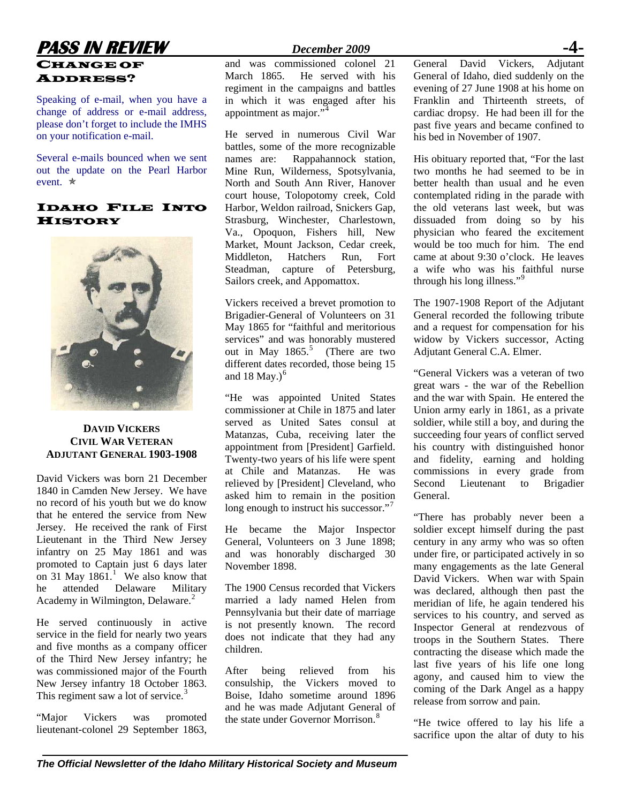### **PASS IN REVIEW** *December 2009* CHANGE OF ADDRESS?

Speaking of e-mail, when you have a change of address or e-mail address, please don't forget to include the IMHS on your notification e-mail.

Several e-mails bounced when we sent out the update on the Pearl Harbor event  $\ast$ 

### IDAHO FILE INTO HISTORY



### **DAVID VICKERS CIVIL WAR VETERAN ADJUTANT GENERAL 1903-1908**

David Vickers was born 21 December 1840 in Camden New Jersey. We have no record of his youth but we do know that he entered the service from New Jersey. He received the rank of First Lieutenant in the Third New Jersey infantry on 25 May 1861 and was promoted to Captain just 6 days later on 3[1](#page--1-0) May  $1861<sup>1</sup>$  We also know that he attended Delaware Military Academy in Wilmington, Delaware.<sup>[2](#page--1-1)</sup>

He served continuously in active service in the field for nearly two years and five months as a company officer of the Third New Jersey infantry; he was commissioned major of the Fourth New Jersey infantry 18 October 1863. This regiment saw a lot of service.<sup>[3](#page--1-1)</sup>

"Major Vickers was promoted lieutenant-colonel 29 September 1863,

and was commissioned colonel 21 March 1865. He served with his regiment in the campaigns and battles in which it was engaged after his appointment as major."<sup>[4](#page--1-1)</sup>

He served in numerous Civil War battles, some of the more recognizable names are: Rappahannock station, Mine Run, Wilderness, Spotsylvania, North and South Ann River, Hanover court house, Tolopotomy creek, Cold Harbor, Weldon railroad, Snickers Gap, Strasburg, Winchester, Charlestown, Va., Opoquon, Fishers hill, New Market, Mount Jackson, Cedar creek, Middleton, Hatchers Run, Fort Steadman, capture of Petersburg, Sailors creek, and Appomattox.

Vickers received a brevet promotion to Brigadier-General of Volunteers on 31 May 1865 for "faithful and meritorious services" and was honorably mustered out in May  $1865$  $1865$ .<sup>5</sup> (There are two different dates recorded, those being 15 and 18 May.) $<sup>6</sup>$  $<sup>6</sup>$  $<sup>6</sup>$ </sup>

"He was appointed United States commissioner at Chile in 1875 and later served as United Sates consul at Matanzas, Cuba, receiving later the appointment from [President] Garfield. Twenty-two years of his life were spent at Chile and Matanzas. He was relieved by [President] Cleveland, who asked him to remain in the position long enough to instruct his successor."<sup>[7](#page--1-1)</sup>

He became the Major Inspector General, Volunteers on 3 June 1898; and was honorably discharged 30 November 1898.

The 1900 Census recorded that Vickers married a lady named Helen from Pennsylvania but their date of marriage is not presently known. The record does not indicate that they had any children.

After being relieved from his consulship, the Vickers moved to Boise, Idaho sometime around 1896 and he was made Adjutant General of the state under Governor Morrison.<sup>[8](#page--1-1)</sup>

General David Vickers, Adjutant General of Idaho, died suddenly on the evening of 27 June 1908 at his home on Franklin and Thirteenth streets, of cardiac dropsy. He had been ill for the past five years and became confined to his bed in November of 1907.

His obituary reported that, "For the last two months he had seemed to be in better health than usual and he even contemplated riding in the parade with the old veterans last week, but was dissuaded from doing so by his physician who feared the excitement would be too much for him. The end came at about 9:30 o'clock. He leaves a wife who was his faithful nurse through his long illness."<sup>[9](#page--1-1)</sup>

The 1907-1908 Report of the Adjutant General recorded the following tribute and a request for compensation for his widow by Vickers successor, Acting Adjutant General C.A. Elmer.

"General Vickers was a veteran of two great wars - the war of the Rebellion and the war with Spain. He entered the Union army early in 1861, as a private soldier, while still a boy, and during the succeeding four years of conflict served his country with distinguished honor and fidelity, earning and holding commissions in every grade from Second Lieutenant to Brigadier General.

"There has probably never been a soldier except himself during the past century in any army who was so often under fire, or participated actively in so many engagements as the late General David Vickers. When war with Spain was declared, although then past the meridian of life, he again tendered his services to his country, and served as Inspector General at rendezvous of troops in the Southern States. There contracting the disease which made the last five years of his life one long agony, and caused him to view the coming of the Dark Angel as a happy release from sorrow and pain.

"He twice offered to lay his life a sacrifice upon the altar of duty to his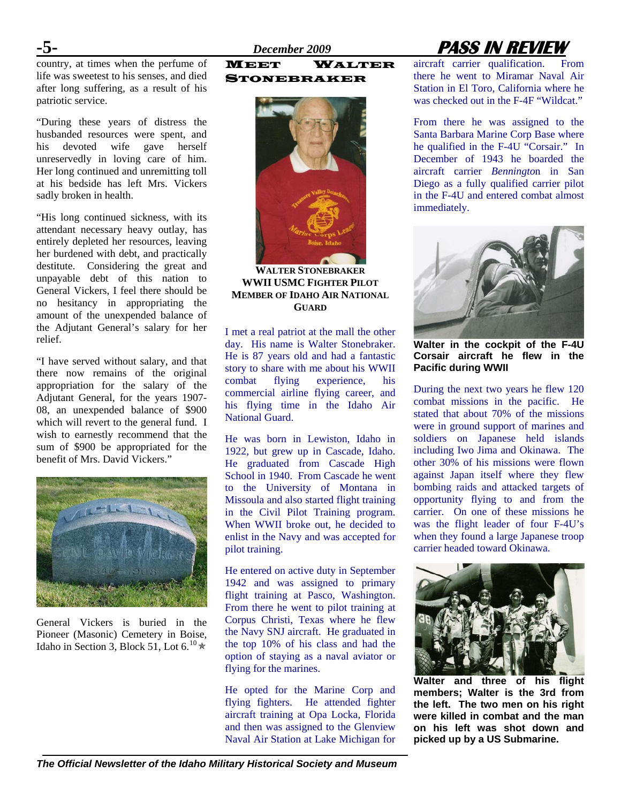country, at times when the perfume of life was sweetest to his senses, and died after long suffering, as a result of his patriotic service.

"During these years of distress the husbanded resources were spent, and his devoted wife gave herself unreservedly in loving care of him. Her long continued and unremitting toll at his bedside has left Mrs. Vickers sadly broken in health.

"His long continued sickness, with its attendant necessary heavy outlay, has entirely depleted her resources, leaving her burdened with debt, and practically destitute. Considering the great and unpayable debt of this nation to General Vickers, I feel there should be no hesitancy in appropriating the amount of the unexpended balance of the Adjutant General's salary for her relief.

"I have served without salary, and that there now remains of the original appropriation for the salary of the Adjutant General, for the years 1907- 08, an unexpended balance of \$900 which will revert to the general fund. I wish to earnestly recommend that the sum of \$900 be appropriated for the benefit of Mrs. David Vickers."



General Vickers is buried in the Pioneer (Masonic) Cemetery in Boise, Idaho in Section 3, Block 51, Lot  $6.^{10}$  $6.^{10}$  $6.^{10}$   $\star$ 

#### MEET WALTER STONEBRAKER



**WALTER STONEBRAKER WWII USMC FIGHTER PILOT MEMBER OF IDAHO AIR NATIONAL GUARD**

I met a real patriot at the mall the other day. His name is Walter Stonebraker. He is 87 years old and had a fantastic story to share with me about his WWII combat flying experience, his commercial airline flying career, and his flying time in the Idaho Air National Guard.

He was born in Lewiston, Idaho in 1922, but grew up in Cascade, Idaho. He graduated from Cascade High School in 1940. From Cascade he went to the University of Montana in Missoula and also started flight training in the Civil Pilot Training program. When WWII broke out, he decided to enlist in the Navy and was accepted for pilot training.

He entered on active duty in September 1942 and was assigned to primary flight training at Pasco, Washington. From there he went to pilot training at Corpus Christi, Texas where he flew the Navy SNJ aircraft. He graduated in the top 10% of his class and had the option of staying as a naval aviator or flying for the marines.

He opted for the Marine Corp and flying fighters. He attended fighter aircraft training at Opa Locka, Florida and then was assigned to the Glenview Naval Air Station at Lake Michigan for

# **-5-** *December 2009* **PASS IN REVIEW**

aircraft carrier qualification. From there he went to Miramar Naval Air Station in El Toro, California where he was checked out in the F-4F "Wildcat."

From there he was assigned to the Santa Barbara Marine Corp Base where he qualified in the F-4U "Corsair." In December of 1943 he boarded the aircraft carrier *Benningto*n in San Diego as a fully qualified carrier pilot in the F-4U and entered combat almost immediately.



**Walter in the cockpit of the F-4U Corsair aircraft he flew in the Pacific during WWII** 

During the next two years he flew 120 combat missions in the pacific. He stated that about 70% of the missions were in ground support of marines and soldiers on Japanese held islands including Iwo Jima and Okinawa. The other 30% of his missions were flown against Japan itself where they flew bombing raids and attacked targets of opportunity flying to and from the carrier. On one of these missions he was the flight leader of four F-4U's when they found a large Japanese troop carrier headed toward Okinawa.



**Walter and three of his flight members; Walter is the 3rd from the left. The two men on his right were killed in combat and the man on his left was shot down and picked up by a US Submarine.**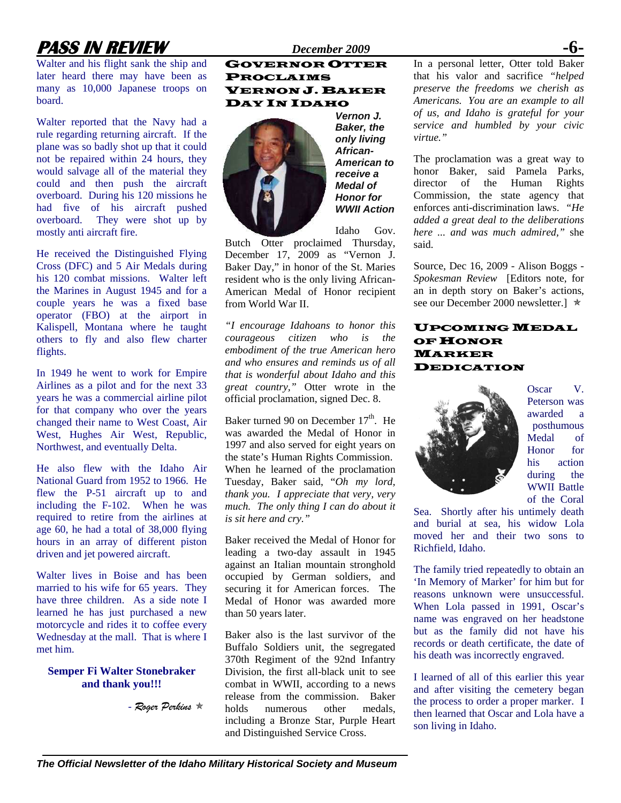# **PASS IN REVIEW** *December 2009*

Walter and his flight sank the ship and later heard there may have been as many as 10,000 Japanese troops on board.

Walter reported that the Navy had a rule regarding returning aircraft. If the plane was so badly shot up that it could not be repaired within 24 hours, they would salvage all of the material they could and then push the aircraft overboard. During his 120 missions he had five of his aircraft pushed overboard. They were shot up by mostly anti aircraft fire.

He received the Distinguished Flying Cross (DFC) and 5 Air Medals during his 120 combat missions. Walter left the Marines in August 1945 and for a couple years he was a fixed base operator (FBO) at the airport in Kalispell, Montana where he taught others to fly and also flew charter flights.

In 1949 he went to work for Empire Airlines as a pilot and for the next 33 years he was a commercial airline pilot for that company who over the years changed their name to West Coast, Air West, Hughes Air West, Republic, Northwest, and eventually Delta.

He also flew with the Idaho Air National Guard from 1952 to 1966. He flew the P-51 aircraft up to and including the F-102. When he was required to retire from the airlines at age 60, he had a total of 38,000 flying hours in an array of different piston driven and jet powered aircraft.

Walter lives in Boise and has been married to his wife for 65 years. They have three children. As a side note I learned he has just purchased a new motorcycle and rides it to coffee every Wednesday at the mall. That is where I met him.

#### **Semper Fi Walter Stonebraker and thank you!!!**

- *Roger Perkins* Õ

### GOVERNOR OTTER PROCLAIMS VERNON J. BAKER DAY IN IDAHO



*Vernon J. Baker, the only living African-American to receive a Medal of Honor for WWII Action* 

Idaho Gov.

Butch Otter proclaimed Thursday, December 17, 2009 as "Vernon J. Baker Day," in honor of the St. Maries resident who is the only living African-American Medal of Honor recipient from World War II.

*"I encourage Idahoans to honor this courageous citizen who is the embodiment of the true American hero and who ensures and reminds us of all that is wonderful about Idaho and this great country,"* Otter wrote in the official proclamation, signed Dec. 8.

Baker turned 90 on December  $17<sup>th</sup>$ . He was awarded the Medal of Honor in 1997 and also served for eight years on the state's Human Rights Commission. When he learned of the proclamation Tuesday, Baker said, "*Oh my lord, thank you. I appreciate that very, very much. The only thing I can do about it is sit here and cry."*

Baker received the Medal of Honor for leading a two-day assault in 1945 against an Italian mountain stronghold occupied by German soldiers, and securing it for American forces. The Medal of Honor was awarded more than 50 years later.

Baker also is the last survivor of the Buffalo Soldiers unit, the segregated 370th Regiment of the 92nd Infantry Division, the first all-black unit to see combat in WWII, according to a news release from the commission. Baker holds numerous other medals including a Bronze Star, Purple Heart and Distinguished Service Cross.

In a personal letter, Otter told Baker that his valor and sacrifice *"helped preserve the freedoms we cherish as Americans. You are an example to all of us, and Idaho is grateful for your service and humbled by your civic virtue."* 

The proclamation was a great way to honor Baker, said Pamela Parks, director of the Human Rights Commission, the state agency that enforces anti-discrimination laws. *"He added a great deal to the deliberations here ... and was much admired,"* she said.

Source, Dec 16, 2009 - Alison Boggs - *Spokesman Review* [Editors note, for an in depth story on Baker's actions, see our December 2000 newsletter. $]\star$ 

#### UPCOMING MEDAL OF HONOR MARKER DEDICATION



Oscar V. Peterson was awarded a posthumous Medal of Honor for his action during the WWII Battle of the Coral

Sea. Shortly after his untimely death and burial at sea, his widow Lola moved her and their two sons to Richfield, Idaho.

The family tried repeatedly to obtain an 'In Memory of Marker' for him but for reasons unknown were unsuccessful. When Lola passed in 1991, Oscar's name was engraved on her headstone but as the family did not have his records or death certificate, the date of his death was incorrectly engraved.

I learned of all of this earlier this year and after visiting the cemetery began the process to order a proper marker. I then learned that Oscar and Lola have a son living in Idaho.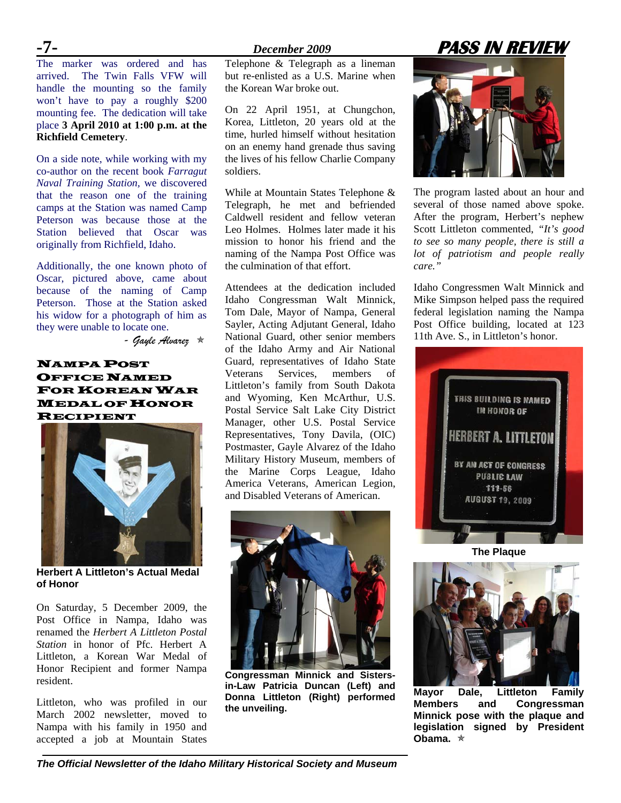The marker was ordered and has arrived. The Twin Falls VFW will handle the mounting so the family won't have to pay a roughly \$200 mounting fee. The dedication will take place **3 April 2010 at 1:00 p.m. at the Richfield Cemetery**.

On a side note, while working with my co-author on the recent book *Farragut Naval Training Station,* we discovered that the reason one of the training camps at the Station was named Camp Peterson was because those at the Station believed that Oscar was originally from Richfield, Idaho.

Additionally, the one known photo of Oscar, pictured above, came about because of the naming of Camp Peterson. Those at the Station asked his widow for a photograph of him as they were unable to locate one.

 *- Gayle Alvarez* Õ

NAMPA POST OFFICE NAMED FOR KOREAN WAR MEDAL OF HONOR RECIPIENT



**Herbert A Littleton's Actual Medal of Honor** 

On Saturday, 5 December 2009, the Post Office in Nampa, Idaho was renamed the *Herbert A Littleton Postal Station* in honor of Pfc. Herbert A Littleton, a Korean War Medal of Honor Recipient and former Nampa resident.

Littleton, who was profiled in our March 2002 newsletter, moved to Nampa with his family in 1950 and accepted a job at Mountain States

Telephone & Telegraph as a lineman but re-enlisted as a U.S. Marine when the Korean War broke out.

On 22 April 1951, at Chungchon, Korea, Littleton, 20 years old at the time, hurled himself without hesitation on an enemy hand grenade thus saving the lives of his fellow Charlie Company soldiers.

While at Mountain States Telephone & Telegraph, he met and befriended Caldwell resident and fellow veteran Leo Holmes. Holmes later made it his mission to honor his friend and the naming of the Nampa Post Office was the culmination of that effort.

Attendees at the dedication included Idaho Congressman Walt Minnick, Tom Dale, Mayor of Nampa, General Sayler, Acting Adjutant General, Idaho National Guard, other senior members of the Idaho Army and Air National Guard, representatives of Idaho State Veterans Services, members of Littleton's family from South Dakota and Wyoming, Ken McArthur, U.S. Postal Service Salt Lake City District Manager, other U.S. Postal Service Representatives, Tony Davila, (OIC) Postmaster, Gayle Alvarez of the Idaho Military History Museum, members of the Marine Corps League, Idaho America Veterans, American Legion, and Disabled Veterans of American.



**Congressman Minnick and Sistersin-Law Patricia Duncan (Left) and Donna Littleton (Right) performed the unveiling.** 

# **-7-** *December 2009* **PASS IN REVIEW**



The program lasted about an hour and several of those named above spoke. After the program, Herbert's nephew Scott Littleton commented, *"It's good to see so many people, there is still a lot of patriotism and people really care."* 

Idaho Congressmen Walt Minnick and Mike Simpson helped pass the required federal legislation naming the Nampa Post Office building, located at 123 11th Ave. S., in Littleton's honor.



**The Plaque**



**Mayor Dale, Littleton Family Members and Congressman Minnick pose with the plaque and legislation signed by President Obama.** Õ

*The Official Newsletter of the Idaho Military Historical Society and Museum*